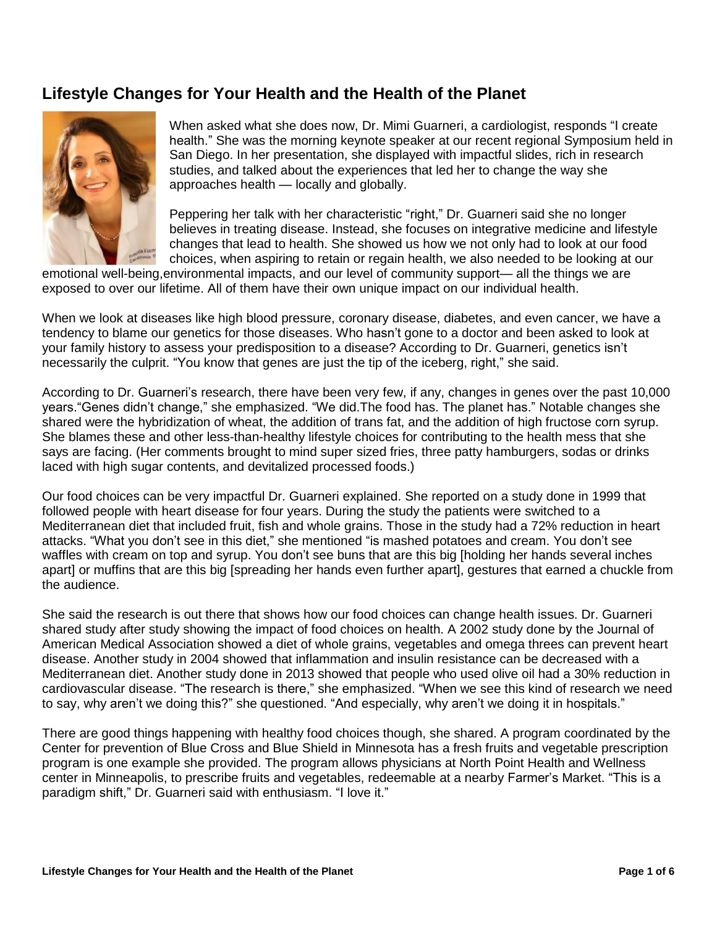## **Lifestyle Changes for Your Health and the Health of the Planet**



When asked what she does now, Dr. Mimi Guarneri, a cardiologist, responds "I create health." She was the morning keynote speaker at our recent regional Symposium held in San Diego. In her presentation, she displayed with impactful slides, rich in research studies, and talked about the experiences that led her to change the way she approaches health — locally and globally.

Peppering her talk with her characteristic "right," Dr. Guarneri said she no longer believes in treating disease. Instead, she focuses on integrative medicine and lifestyle changes that lead to health. She showed us how we not only had to look at our food choices, when aspiring to retain or regain health, we also needed to be looking at our

emotional well-being,environmental impacts, and our level of community support— all the things we are exposed to over our lifetime. All of them have their own unique impact on our individual health.

When we look at diseases like high blood pressure, coronary disease, diabetes, and even cancer, we have a tendency to blame our genetics for those diseases. Who hasn't gone to a doctor and been asked to look at your family history to assess your predisposition to a disease? According to Dr. Guarneri, genetics isn't necessarily the culprit. "You know that genes are just the tip of the iceberg, right," she said.

According to Dr. Guarneri's research, there have been very few, if any, changes in genes over the past 10,000 years."Genes didn't change," she emphasized. "We did.The food has. The planet has." Notable changes she shared were the hybridization of wheat, the addition of trans fat, and the addition of high fructose corn syrup. She blames these and other less-than-healthy lifestyle choices for contributing to the health mess that she says are facing. (Her comments brought to mind super sized fries, three patty hamburgers, sodas or drinks laced with high sugar contents, and devitalized processed foods.)

Our food choices can be very impactful Dr. Guarneri explained. She reported on a study done in 1999 that followed people with heart disease for four years. During the study the patients were switched to a Mediterranean diet that included fruit, fish and whole grains. Those in the study had a 72% reduction in heart attacks. "What you don't see in this diet," she mentioned "is mashed potatoes and cream. You don't see waffles with cream on top and syrup. You don't see buns that are this big [holding her hands several inches apart] or muffins that are this big [spreading her hands even further apart], gestures that earned a chuckle from the audience.

She said the research is out there that shows how our food choices can change health issues. Dr. Guarneri shared study after study showing the impact of food choices on health. A 2002 study done by the Journal of American Medical Association showed a diet of whole grains, vegetables and omega threes can prevent heart disease. Another study in 2004 showed that inflammation and insulin resistance can be decreased with a Mediterranean diet. Another study done in 2013 showed that people who used olive oil had a 30% reduction in cardiovascular disease. "The research is there," she emphasized. "When we see this kind of research we need to say, why aren't we doing this?" she questioned. "And especially, why aren't we doing it in hospitals."

There are good things happening with healthy food choices though, she shared. A program coordinated by the Center for prevention of Blue Cross and Blue Shield in Minnesota has a fresh fruits and vegetable prescription program is one example she provided. The program allows physicians at North Point Health and Wellness center in Minneapolis, to prescribe fruits and vegetables, redeemable at a nearby Farmer's Market. "This is a paradigm shift," Dr. Guarneri said with enthusiasm. "I love it."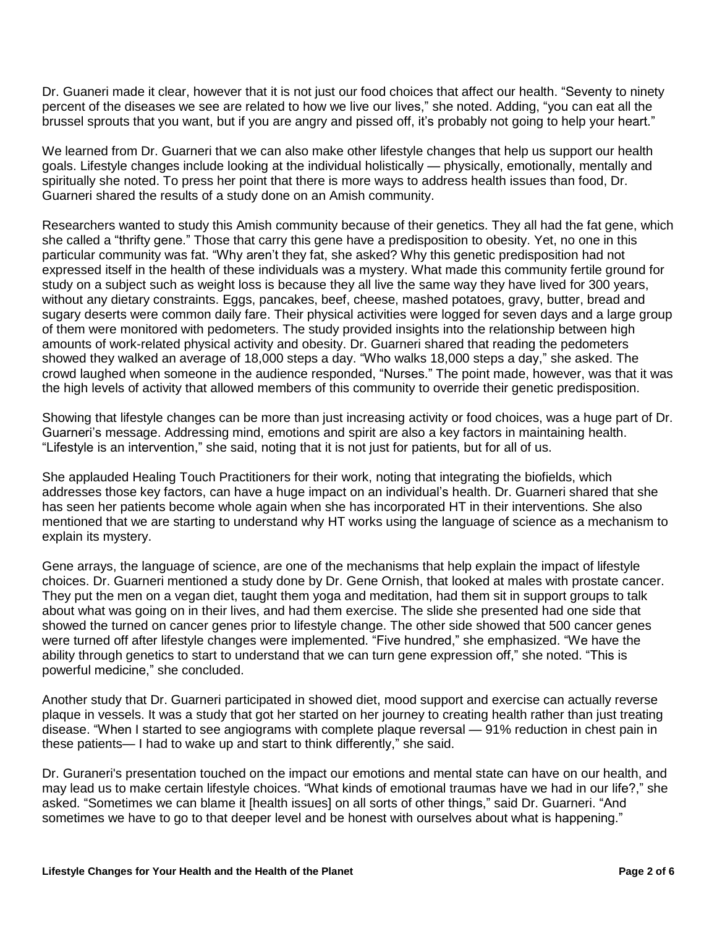Dr. Guaneri made it clear, however that it is not just our food choices that affect our health. "Seventy to ninety percent of the diseases we see are related to how we live our lives," she noted. Adding, "you can eat all the brussel sprouts that you want, but if you are angry and pissed off, it's probably not going to help your heart."

We learned from Dr. Guarneri that we can also make other lifestyle changes that help us support our health goals. Lifestyle changes include looking at the individual holistically — physically, emotionally, mentally and spiritually she noted. To press her point that there is more ways to address health issues than food, Dr. Guarneri shared the results of a study done on an Amish community.

Researchers wanted to study this Amish community because of their genetics. They all had the fat gene, which she called a "thrifty gene." Those that carry this gene have a predisposition to obesity. Yet, no one in this particular community was fat. "Why aren't they fat, she asked? Why this genetic predisposition had not expressed itself in the health of these individuals was a mystery. What made this community fertile ground for study on a subject such as weight loss is because they all live the same way they have lived for 300 years, without any dietary constraints. Eggs, pancakes, beef, cheese, mashed potatoes, gravy, butter, bread and sugary deserts were common daily fare. Their physical activities were logged for seven days and a large group of them were monitored with pedometers. The study provided insights into the relationship between high amounts of work-related physical activity and obesity. Dr. Guarneri shared that reading the pedometers showed they walked an average of 18,000 steps a day. "Who walks 18,000 steps a day," she asked. The crowd laughed when someone in the audience responded, "Nurses." The point made, however, was that it was the high levels of activity that allowed members of this community to override their genetic predisposition.

Showing that lifestyle changes can be more than just increasing activity or food choices, was a huge part of Dr. Guarneri's message. Addressing mind, emotions and spirit are also a key factors in maintaining health. "Lifestyle is an intervention," she said, noting that it is not just for patients, but for all of us.

She applauded Healing Touch Practitioners for their work, noting that integrating the biofields, which addresses those key factors, can have a huge impact on an individual's health. Dr. Guarneri shared that she has seen her patients become whole again when she has incorporated HT in their interventions. She also mentioned that we are starting to understand why HT works using the language of science as a mechanism to explain its mystery.

Gene arrays, the language of science, are one of the mechanisms that help explain the impact of lifestyle choices. Dr. Guarneri mentioned a study done by Dr. Gene Ornish, that looked at males with prostate cancer. They put the men on a vegan diet, taught them yoga and meditation, had them sit in support groups to talk about what was going on in their lives, and had them exercise. The slide she presented had one side that showed the turned on cancer genes prior to lifestyle change. The other side showed that 500 cancer genes were turned off after lifestyle changes were implemented. "Five hundred," she emphasized. "We have the ability through genetics to start to understand that we can turn gene expression off," she noted. "This is powerful medicine," she concluded.

Another study that Dr. Guarneri participated in showed diet, mood support and exercise can actually reverse plaque in vessels. It was a study that got her started on her journey to creating health rather than just treating disease. "When I started to see angiograms with complete plaque reversal — 91% reduction in chest pain in these patients— I had to wake up and start to think differently," she said.

Dr. Guraneri's presentation touched on the impact our emotions and mental state can have on our health, and may lead us to make certain lifestyle choices. "What kinds of emotional traumas have we had in our life?," she asked. "Sometimes we can blame it [health issues] on all sorts of other things," said Dr. Guarneri. "And sometimes we have to go to that deeper level and be honest with ourselves about what is happening."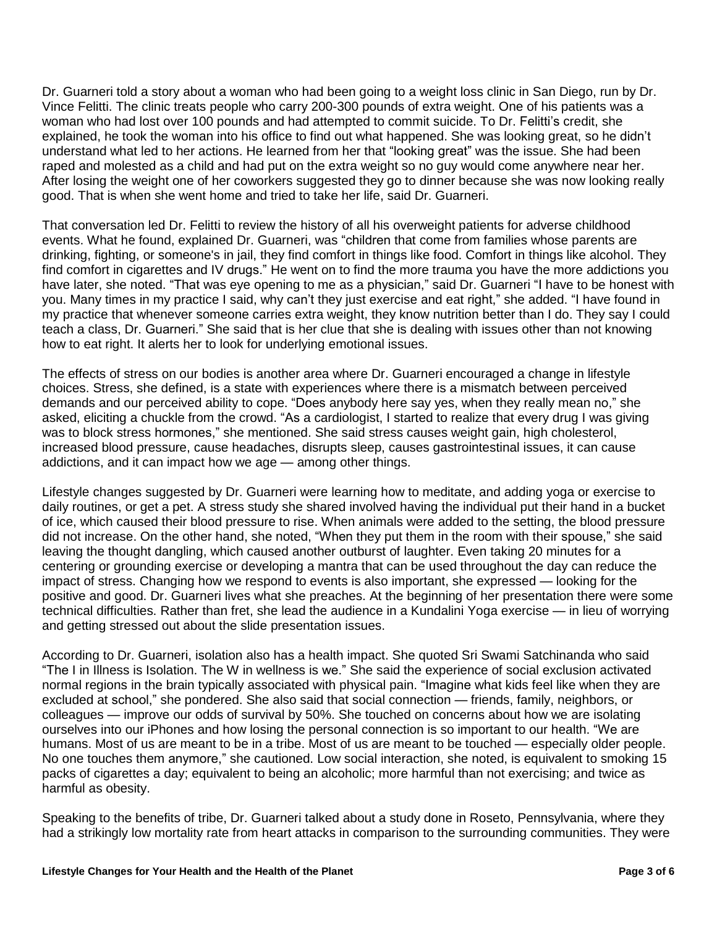Dr. Guarneri told a story about a woman who had been going to a weight loss clinic in San Diego, run by Dr. Vince Felitti. The clinic treats people who carry 200-300 pounds of extra weight. One of his patients was a woman who had lost over 100 pounds and had attempted to commit suicide. To Dr. Felitti's credit, she explained, he took the woman into his office to find out what happened. She was looking great, so he didn't understand what led to her actions. He learned from her that "looking great" was the issue. She had been raped and molested as a child and had put on the extra weight so no guy would come anywhere near her. After losing the weight one of her coworkers suggested they go to dinner because she was now looking really good. That is when she went home and tried to take her life, said Dr. Guarneri.

That conversation led Dr. Felitti to review the history of all his overweight patients for adverse childhood events. What he found, explained Dr. Guarneri, was "children that come from families whose parents are drinking, fighting, or someone's in jail, they find comfort in things like food. Comfort in things like alcohol. They find comfort in cigarettes and IV drugs." He went on to find the more trauma you have the more addictions you have later, she noted. "That was eye opening to me as a physician," said Dr. Guarneri "I have to be honest with you. Many times in my practice I said, why can't they just exercise and eat right," she added. "I have found in my practice that whenever someone carries extra weight, they know nutrition better than I do. They say I could teach a class, Dr. Guarneri." She said that is her clue that she is dealing with issues other than not knowing how to eat right. It alerts her to look for underlying emotional issues.

The effects of stress on our bodies is another area where Dr. Guarneri encouraged a change in lifestyle choices. Stress, she defined, is a state with experiences where there is a mismatch between perceived demands and our perceived ability to cope. "Does anybody here say yes, when they really mean no," she asked, eliciting a chuckle from the crowd. "As a cardiologist, I started to realize that every drug I was giving was to block stress hormones," she mentioned. She said stress causes weight gain, high cholesterol, increased blood pressure, cause headaches, disrupts sleep, causes gastrointestinal issues, it can cause addictions, and it can impact how we age — among other things.

Lifestyle changes suggested by Dr. Guarneri were learning how to meditate, and adding yoga or exercise to daily routines, or get a pet. A stress study she shared involved having the individual put their hand in a bucket of ice, which caused their blood pressure to rise. When animals were added to the setting, the blood pressure did not increase. On the other hand, she noted, "When they put them in the room with their spouse," she said leaving the thought dangling, which caused another outburst of laughter. Even taking 20 minutes for a centering or grounding exercise or developing a mantra that can be used throughout the day can reduce the impact of stress. Changing how we respond to events is also important, she expressed — looking for the positive and good. Dr. Guarneri lives what she preaches. At the beginning of her presentation there were some technical difficulties. Rather than fret, she lead the audience in a Kundalini Yoga exercise — in lieu of worrying and getting stressed out about the slide presentation issues.

According to Dr. Guarneri, isolation also has a health impact. She quoted Sri Swami Satchinanda who said "The I in Illness is Isolation. The W in wellness is we." She said the experience of social exclusion activated normal regions in the brain typically associated with physical pain. "Imagine what kids feel like when they are excluded at school," she pondered. She also said that social connection — friends, family, neighbors, or colleagues — improve our odds of survival by 50%. She touched on concerns about how we are isolating ourselves into our iPhones and how losing the personal connection is so important to our health. "We are humans. Most of us are meant to be in a tribe. Most of us are meant to be touched — especially older people. No one touches them anymore," she cautioned. Low social interaction, she noted, is equivalent to smoking 15 packs of cigarettes a day; equivalent to being an alcoholic; more harmful than not exercising; and twice as harmful as obesity.

Speaking to the benefits of tribe, Dr. Guarneri talked about a study done in Roseto, Pennsylvania, where they had a strikingly low mortality rate from heart attacks in comparison to the surrounding communities. They were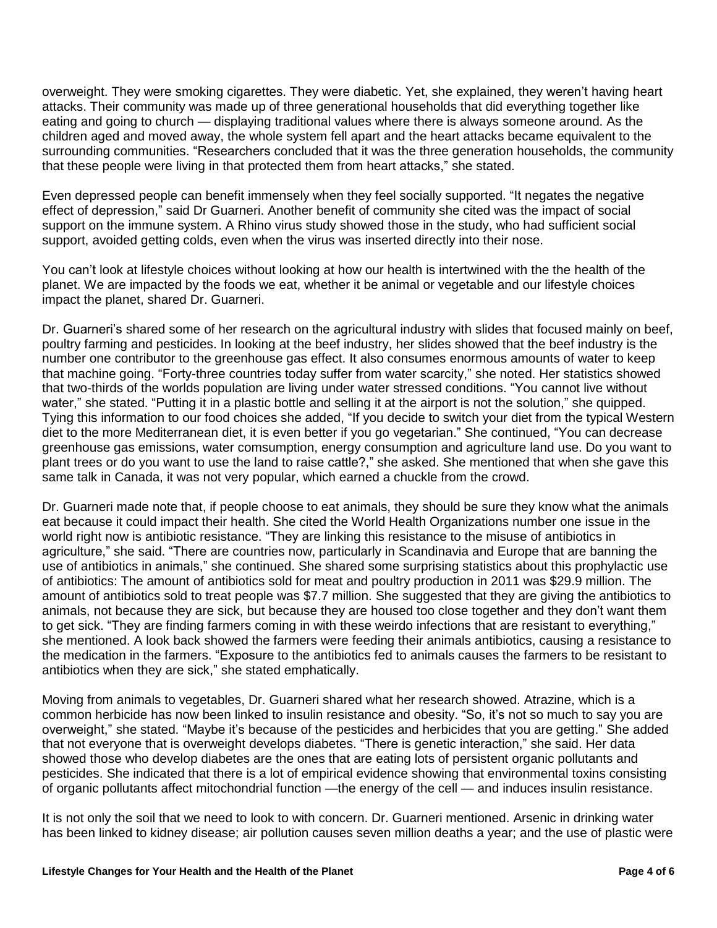overweight. They were smoking cigarettes. They were diabetic. Yet, she explained, they weren't having heart attacks. Their community was made up of three generational households that did everything together like eating and going to church — displaying traditional values where there is always someone around. As the children aged and moved away, the whole system fell apart and the heart attacks became equivalent to the surrounding communities. "Researchers concluded that it was the three generation households, the community that these people were living in that protected them from heart attacks," she stated.

Even depressed people can benefit immensely when they feel socially supported. "It negates the negative effect of depression," said Dr Guarneri. Another benefit of community she cited was the impact of social support on the immune system. A Rhino virus study showed those in the study, who had sufficient social support, avoided getting colds, even when the virus was inserted directly into their nose.

You can't look at lifestyle choices without looking at how our health is intertwined with the the health of the planet. We are impacted by the foods we eat, whether it be animal or vegetable and our lifestyle choices impact the planet, shared Dr. Guarneri.

Dr. Guarneri's shared some of her research on the agricultural industry with slides that focused mainly on beef, poultry farming and pesticides. In looking at the beef industry, her slides showed that the beef industry is the number one contributor to the greenhouse gas effect. It also consumes enormous amounts of water to keep that machine going. "Forty-three countries today suffer from water scarcity," she noted. Her statistics showed that two-thirds of the worlds population are living under water stressed conditions. "You cannot live without water," she stated. "Putting it in a plastic bottle and selling it at the airport is not the solution," she quipped. Tying this information to our food choices she added, "If you decide to switch your diet from the typical Western diet to the more Mediterranean diet, it is even better if you go vegetarian." She continued, "You can decrease greenhouse gas emissions, water comsumption, energy consumption and agriculture land use. Do you want to plant trees or do you want to use the land to raise cattle?," she asked. She mentioned that when she gave this same talk in Canada, it was not very popular, which earned a chuckle from the crowd.

Dr. Guarneri made note that, if people choose to eat animals, they should be sure they know what the animals eat because it could impact their health. She cited the World Health Organizations number one issue in the world right now is antibiotic resistance. "They are linking this resistance to the misuse of antibiotics in agriculture," she said. "There are countries now, particularly in Scandinavia and Europe that are banning the use of antibiotics in animals," she continued. She shared some surprising statistics about this prophylactic use of antibiotics: The amount of antibiotics sold for meat and poultry production in 2011 was \$29.9 million. The amount of antibiotics sold to treat people was \$7.7 million. She suggested that they are giving the antibiotics to animals, not because they are sick, but because they are housed too close together and they don't want them to get sick. "They are finding farmers coming in with these weirdo infections that are resistant to everything," she mentioned. A look back showed the farmers were feeding their animals antibiotics, causing a resistance to the medication in the farmers. "Exposure to the antibiotics fed to animals causes the farmers to be resistant to antibiotics when they are sick," she stated emphatically.

Moving from animals to vegetables, Dr. Guarneri shared what her research showed. Atrazine, which is a common herbicide has now been linked to insulin resistance and obesity. "So, it's not so much to say you are overweight," she stated. "Maybe it's because of the pesticides and herbicides that you are getting." She added that not everyone that is overweight develops diabetes. "There is genetic interaction," she said. Her data showed those who develop diabetes are the ones that are eating lots of persistent organic pollutants and pesticides. She indicated that there is a lot of empirical evidence showing that environmental toxins consisting of organic pollutants affect mitochondrial function —the energy of the cell — and induces insulin resistance.

It is not only the soil that we need to look to with concern. Dr. Guarneri mentioned. Arsenic in drinking water has been linked to kidney disease; air pollution causes seven million deaths a year; and the use of plastic were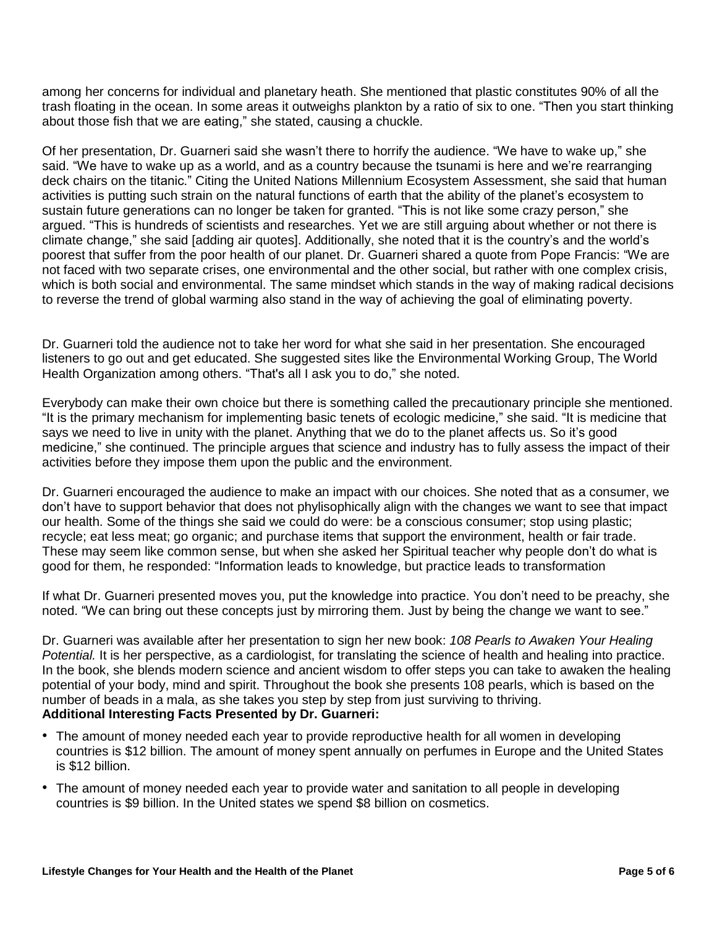among her concerns for individual and planetary heath. She mentioned that plastic constitutes 90% of all the trash floating in the ocean. In some areas it outweighs plankton by a ratio of six to one. "Then you start thinking about those fish that we are eating," she stated, causing a chuckle.

Of her presentation, Dr. Guarneri said she wasn't there to horrify the audience. "We have to wake up," she said. "We have to wake up as a world, and as a country because the tsunami is here and we're rearranging deck chairs on the titanic." Citing the United Nations Millennium Ecosystem Assessment, she said that human activities is putting such strain on the natural functions of earth that the ability of the planet's ecosystem to sustain future generations can no longer be taken for granted. "This is not like some crazy person," she argued. "This is hundreds of scientists and researches. Yet we are still arguing about whether or not there is climate change," she said [adding air quotes]. Additionally, she noted that it is the country's and the world's poorest that suffer from the poor health of our planet. Dr. Guarneri shared a quote from Pope Francis: "We are not faced with two separate crises, one environmental and the other social, but rather with one complex crisis, which is both social and environmental. The same mindset which stands in the way of making radical decisions to reverse the trend of global warming also stand in the way of achieving the goal of eliminating poverty.

Dr. Guarneri told the audience not to take her word for what she said in her presentation. She encouraged listeners to go out and get educated. She suggested sites like the Environmental Working Group, The World Health Organization among others. "That's all I ask you to do," she noted.

Everybody can make their own choice but there is something called the precautionary principle she mentioned. "It is the primary mechanism for implementing basic tenets of ecologic medicine," she said. "It is medicine that says we need to live in unity with the planet. Anything that we do to the planet affects us. So it's good medicine," she continued. The principle argues that science and industry has to fully assess the impact of their activities before they impose them upon the public and the environment.

Dr. Guarneri encouraged the audience to make an impact with our choices. She noted that as a consumer, we don't have to support behavior that does not phylisophically align with the changes we want to see that impact our health. Some of the things she said we could do were: be a conscious consumer; stop using plastic; recycle; eat less meat; go organic; and purchase items that support the environment, health or fair trade. These may seem like common sense, but when she asked her Spiritual teacher why people don't do what is good for them, he responded: "Information leads to knowledge, but practice leads to transformation

If what Dr. Guarneri presented moves you, put the knowledge into practice. You don't need to be preachy, she noted. "We can bring out these concepts just by mirroring them. Just by being the change we want to see."

Dr. Guarneri was available after her presentation to sign her new book: *108 Pearls to Awaken Your Healing Potential.* It is her perspective, as a cardiologist, for translating the science of health and healing into practice. In the book, she blends modern science and ancient wisdom to offer steps you can take to awaken the healing potential of your body, mind and spirit. Throughout the book she presents 108 pearls, which is based on the number of beads in a mala, as she takes you step by step from just surviving to thriving. **Additional Interesting Facts Presented by Dr. Guarneri:**

- The amount of money needed each year to provide reproductive health for all women in developing countries is \$12 billion. The amount of money spent annually on perfumes in Europe and the United States is \$12 billion.
- The amount of money needed each year to provide water and sanitation to all people in developing countries is \$9 billion. In the United states we spend \$8 billion on cosmetics.